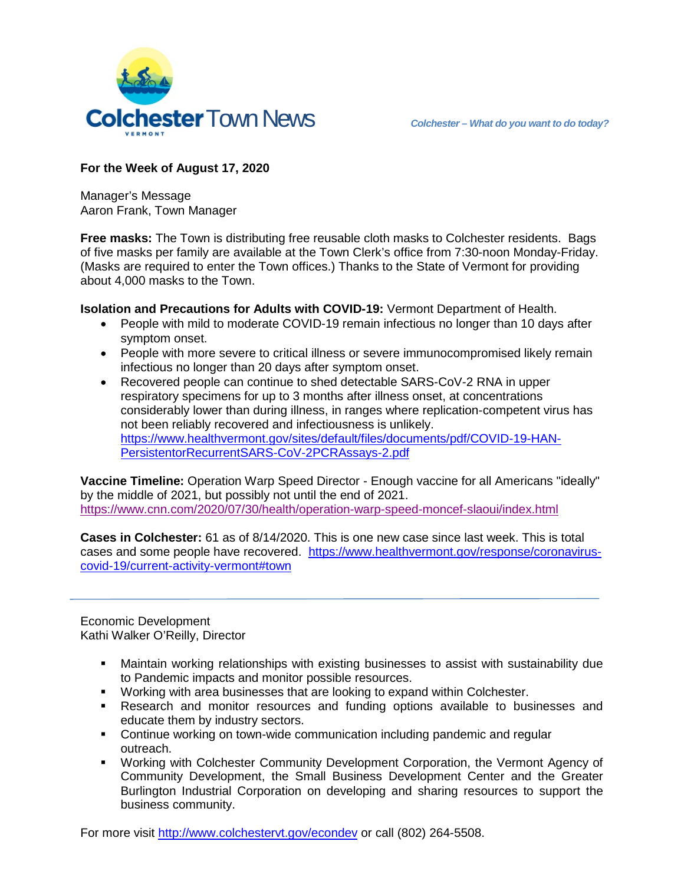



## **For the Week of August 17, 2020**

Manager's Message Aaron Frank, Town Manager

**Free masks:** The Town is distributing free reusable cloth masks to Colchester residents. Bags of five masks per family are available at the Town Clerk's office from 7:30-noon Monday-Friday. (Masks are required to enter the Town offices.) Thanks to the State of Vermont for providing about 4,000 masks to the Town.

**Isolation and Precautions for Adults with COVID-19:** Vermont Department of Health.

- People with mild to moderate COVID-19 remain infectious no longer than 10 days after symptom onset.
- People with more severe to critical illness or severe immunocompromised likely remain infectious no longer than 20 days after symptom onset.
- Recovered people can continue to shed detectable SARS-CoV-2 RNA in upper respiratory specimens for up to 3 months after illness onset, at concentrations considerably lower than during illness, in ranges where replication-competent virus has not been reliably recovered and infectiousness is unlikely. [https://www.healthvermont.gov/sites/default/files/documents/pdf/COVID-19-HAN-](https://www.healthvermont.gov/sites/default/files/documents/pdf/COVID-19-HAN-PersistentorRecurrentSARS-CoV-2PCRAssays-2.pdf)[PersistentorRecurrentSARS-CoV-2PCRAssays-2.pdf](https://www.healthvermont.gov/sites/default/files/documents/pdf/COVID-19-HAN-PersistentorRecurrentSARS-CoV-2PCRAssays-2.pdf)

**Vaccine Timeline:** Operation Warp Speed Director - Enough vaccine for all Americans "ideally" by the middle of 2021, but possibly not until the end of 2021. <https://www.cnn.com/2020/07/30/health/operation-warp-speed-moncef-slaoui/index.html>

**Cases in Colchester:** 61 as of 8/14/2020. This is one new case since last week. This is total cases and some people have recovered. [https://www.healthvermont.gov/response/coronavirus](https://www.healthvermont.gov/response/coronavirus-covid-19/current-activity-vermont#town)[covid-19/current-activity-vermont#town](https://www.healthvermont.gov/response/coronavirus-covid-19/current-activity-vermont#town)

Economic Development Kathi Walker O'Reilly, Director

- Maintain working relationships with existing businesses to assist with sustainability due to Pandemic impacts and monitor possible resources.
- Working with area businesses that are looking to expand within Colchester.
- Research and monitor resources and funding options available to businesses and educate them by industry sectors.
- Continue working on town-wide communication including pandemic and regular outreach.
- Working with Colchester Community Development Corporation, the Vermont Agency of Community Development, the Small Business Development Center and the Greater Burlington Industrial Corporation on developing and sharing resources to support the business community.

For more visit [http://www.colchestervt.gov/e](http://www.colchestervt.gov/)condev or call (802) 264-5508.